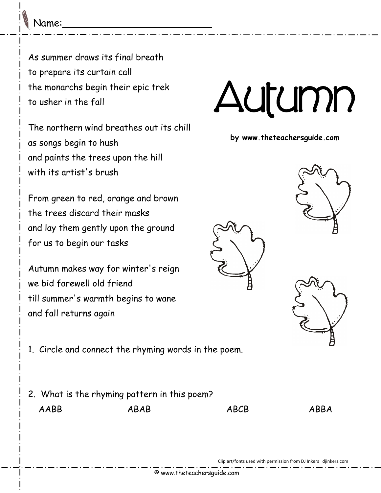Name:\_\_\_\_\_\_\_\_\_\_\_\_\_\_\_\_\_\_\_\_\_\_\_\_

As summer draws its final breath to prepare its curtain call the monarchs begin their epic trek to usher in the fall

The northern wind breathes out its chill as songs begin to hush and paints the trees upon the hill with its artist's brush

From green to red, orange and brown the trees discard their masks and lay them gently upon the ground for us to begin our tasks

Autumn makes way for winter's reign we bid farewell old friend till summer's warmth begins to wane and fall returns again

1. Circle and connect the rhyming words in the poem.

2. What is the rhyming pattern in this poem? AABB ABAB ABCB ABBA



**by www.theteachersguide.com**



Clip art/fonts used with permission from DJ Inkers djinkers.com